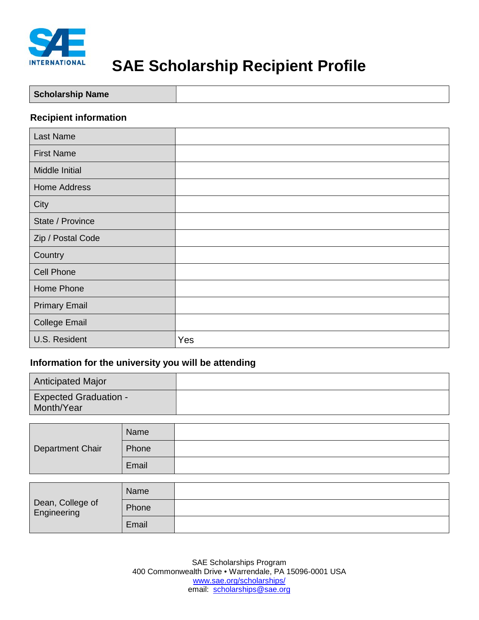

# **SAE Scholarship Recipient Profile**

| <b>Scholarship Name</b> |
|-------------------------|
|-------------------------|

### **Recipient information**

| <b>Last Name</b>     |     |
|----------------------|-----|
| <b>First Name</b>    |     |
| Middle Initial       |     |
| <b>Home Address</b>  |     |
| City                 |     |
| State / Province     |     |
| Zip / Postal Code    |     |
| Country              |     |
| <b>Cell Phone</b>    |     |
| Home Phone           |     |
| <b>Primary Email</b> |     |
| <b>College Email</b> |     |
| U.S. Resident        | Yes |

#### **Information for the university you will be attending**

| <b>Anticipated Major</b>                   |  |
|--------------------------------------------|--|
| <b>Expected Graduation -</b><br>Month/Year |  |

| Department Chair | Name  |  |
|------------------|-------|--|
|                  | Phone |  |
|                  | Email |  |

| Dean, College of<br>Engineering | Name  |  |
|---------------------------------|-------|--|
|                                 | Phone |  |
|                                 | Email |  |

SAE Scholarships Program 400 Commonwealth Drive • Warrendale, PA 15096-0001 USA [www.sae.org/scholarships/](http://www.sae.org/scholarships/) email: [scholarships@sae.org](mailto:sections@sae.org)